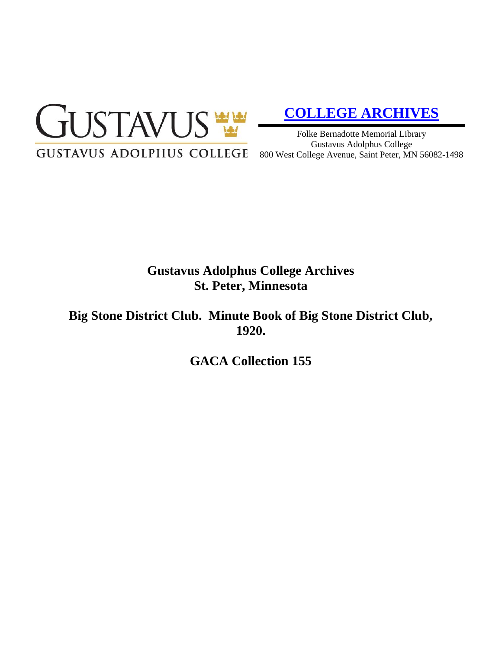

# **[COLLEGE ARCHIVES](http://gustavus.edu/academics/library/archives/)**

Folke Bernadotte Memorial Library Gustavus Adolphus College 800 West College Avenue, Saint Peter, MN 56082-1498

## **Gustavus Adolphus College Archives St. Peter, Minnesota**

**Big Stone District Club. Minute Book of Big Stone District Club, 1920.**

**GACA Collection 155**